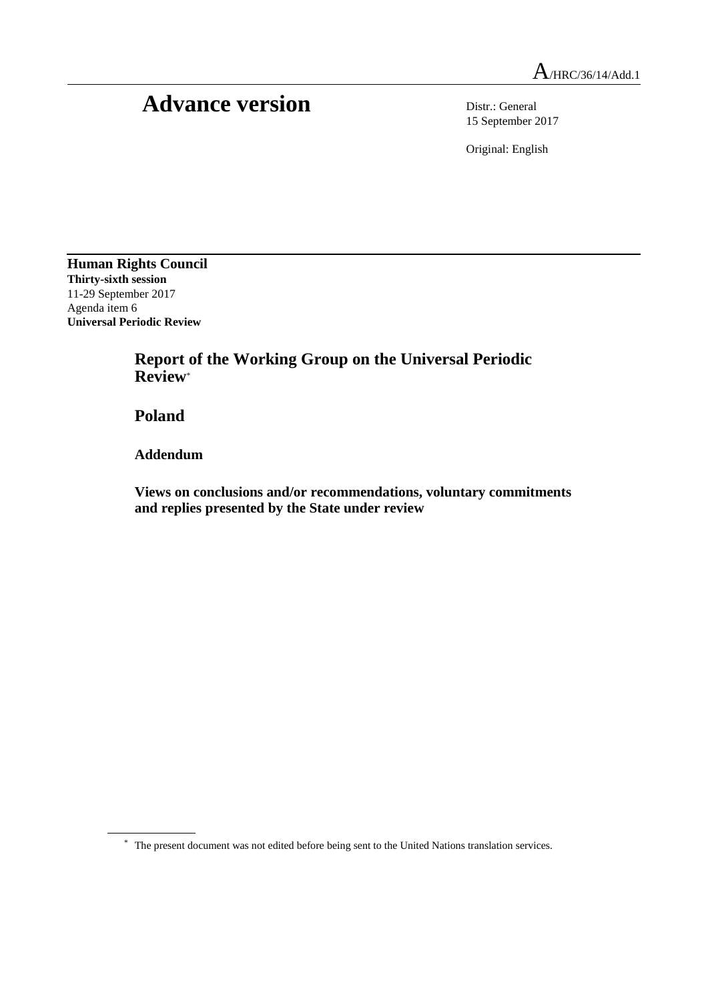## Advance version Distr.: General

15 September 2017

Original: English

**Human Rights Council Thirty-sixth session** 11-29 September 2017 Agenda item 6 **Universal Periodic Review**

> **Report of the Working Group on the Universal Periodic Review**\*

**Poland**

**Addendum**

**Views on conclusions and/or recommendations, voluntary commitments and replies presented by the State under review**

<sup>\*</sup> The present document was not edited before being sent to the United Nations translation services.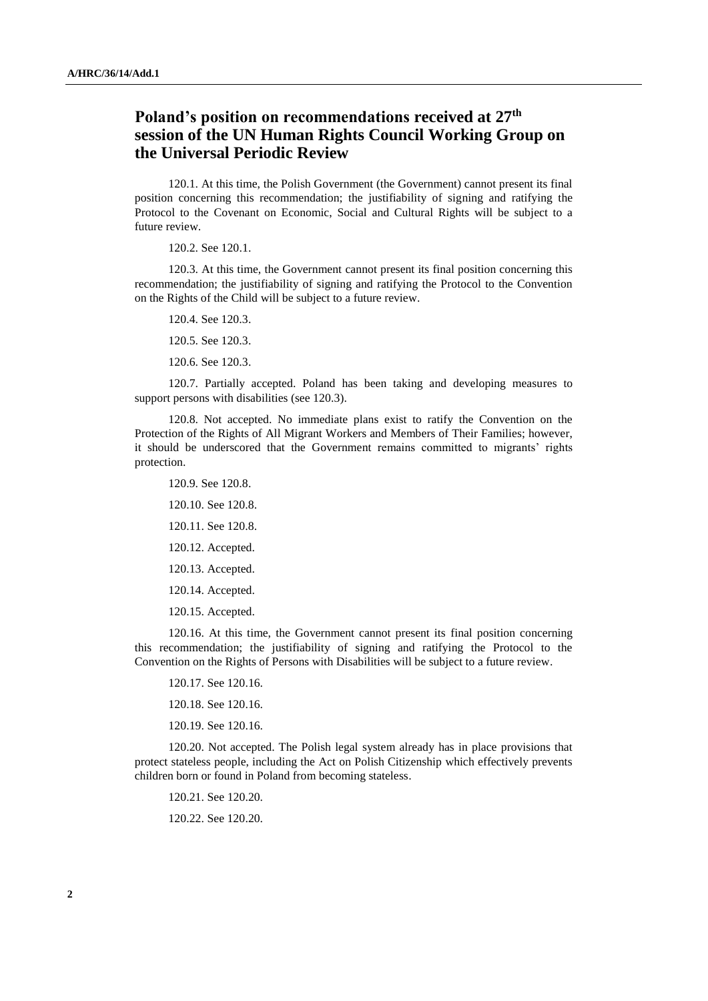## **Poland's position on recommendations received at 27th session of the UN Human Rights Council Working Group on the Universal Periodic Review**

120.1. At this time, the Polish Government (the Government) cannot present its final position concerning this recommendation; the justifiability of signing and ratifying the Protocol to the Covenant on Economic, Social and Cultural Rights will be subject to a future review.

120.2. See 120.1.

120.3. At this time, the Government cannot present its final position concerning this recommendation; the justifiability of signing and ratifying the Protocol to the Convention on the Rights of the Child will be subject to a future review.

120.4. See 120.3.

120.5. See 120.3.

120.6. See 120.3.

120.7. Partially accepted. Poland has been taking and developing measures to support persons with disabilities (see 120.3).

120.8. Not accepted. No immediate plans exist to ratify the Convention on the Protection of the Rights of All Migrant Workers and Members of Their Families; however, it should be underscored that the Government remains committed to migrants' rights protection.

120.9. See 120.8. 120.10. See 120.8. 120.11. See 120.8. 120.12. Accepted. 120.13. Accepted. 120.14. Accepted. 120.15. Accepted.

120.16. At this time, the Government cannot present its final position concerning this recommendation; the justifiability of signing and ratifying the Protocol to the Convention on the Rights of Persons with Disabilities will be subject to a future review.

120.17. See 120.16. 120.18. See 120.16. 120.19. See 120.16.

120.20. Not accepted. The Polish legal system already has in place provisions that protect stateless people, including the Act on Polish Citizenship which effectively prevents children born or found in Poland from becoming stateless.

120.21. See 120.20.

120.22. See 120.20.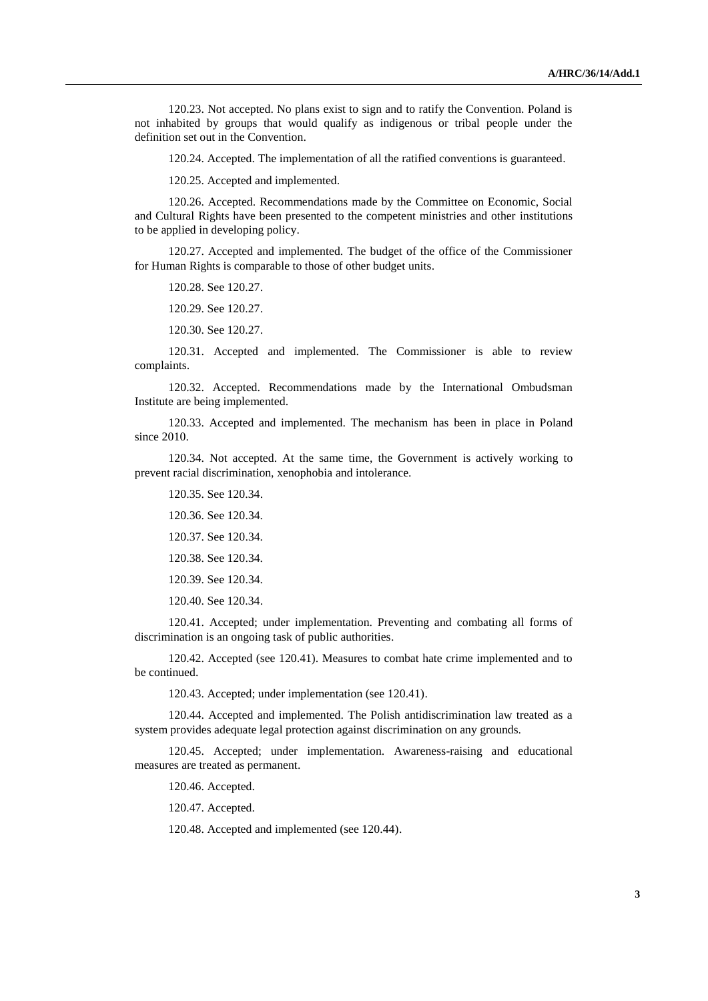120.23. Not accepted. No plans exist to sign and to ratify the Convention. Poland is not inhabited by groups that would qualify as indigenous or tribal people under the definition set out in the Convention.

120.24. Accepted. The implementation of all the ratified conventions is guaranteed.

120.25. Accepted and implemented.

120.26. Accepted. Recommendations made by the Committee on Economic, Social and Cultural Rights have been presented to the competent ministries and other institutions to be applied in developing policy.

120.27. Accepted and implemented. The budget of the office of the Commissioner for Human Rights is comparable to those of other budget units.

120.28. See 120.27.

120.29. See 120.27.

120.30. See 120.27.

120.31. Accepted and implemented. The Commissioner is able to review complaints.

120.32. Accepted. Recommendations made by the International Ombudsman Institute are being implemented.

120.33. Accepted and implemented. The mechanism has been in place in Poland since 2010.

120.34. Not accepted. At the same time, the Government is actively working to prevent racial discrimination, xenophobia and intolerance.

120.35. See 120.34. 120.36. See 120.34. 120.37. See 120.34. 120.38. See 120.34. 120.39. See 120.34. 120.40. See 120.34.

120.41. Accepted; under implementation. Preventing and combating all forms of discrimination is an ongoing task of public authorities.

120.42. Accepted (see 120.41). Measures to combat hate crime implemented and to be continued.

120.43. Accepted; under implementation (see 120.41).

120.44. Accepted and implemented. The Polish antidiscrimination law treated as a system provides adequate legal protection against discrimination on any grounds.

120.45. Accepted; under implementation. Awareness-raising and educational measures are treated as permanent.

120.46. Accepted.

120.47. Accepted.

120.48. Accepted and implemented (see 120.44).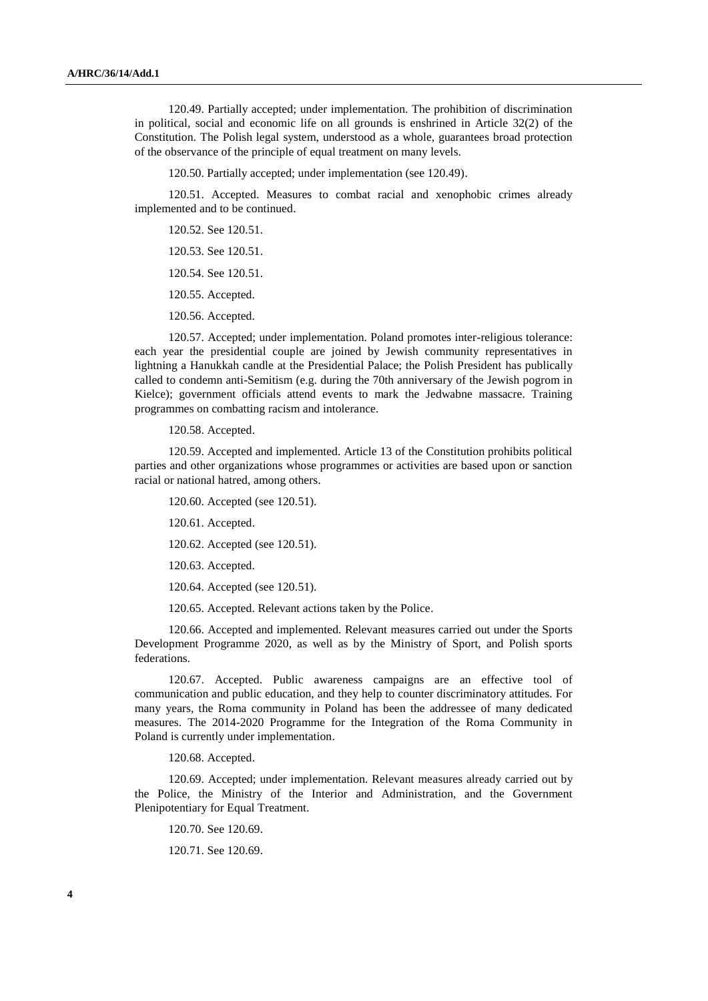120.49. Partially accepted; under implementation. The prohibition of discrimination in political, social and economic life on all grounds is enshrined in Article 32(2) of the Constitution. The Polish legal system, understood as a whole, guarantees broad protection of the observance of the principle of equal treatment on many levels.

120.50. Partially accepted; under implementation (see 120.49).

120.51. Accepted. Measures to combat racial and xenophobic crimes already implemented and to be continued.

120.52. See 120.51. 120.53. See 120.51.

120.54. See 120.51.

120.55. Accepted.

120.56. Accepted.

120.57. Accepted; under implementation. Poland promotes inter-religious tolerance: each year the presidential couple are joined by Jewish community representatives in lightning a Hanukkah candle at the Presidential Palace; the Polish President has publically called to condemn anti-Semitism (e.g. during the 70th anniversary of the Jewish pogrom in Kielce); government officials attend events to mark the Jedwabne massacre. Training programmes on combatting racism and intolerance.

120.58. Accepted.

120.59. Accepted and implemented. Article 13 of the Constitution prohibits political parties and other organizations whose programmes or activities are based upon or sanction racial or national hatred, among others.

120.60. Accepted (see 120.51).

120.61. Accepted.

120.62. Accepted (see 120.51).

120.63. Accepted.

120.64. Accepted (see 120.51).

120.65. Accepted. Relevant actions taken by the Police.

120.66. Accepted and implemented. Relevant measures carried out under the Sports Development Programme 2020, as well as by the Ministry of Sport, and Polish sports federations.

120.67. Accepted. Public awareness campaigns are an effective tool of communication and public education, and they help to counter discriminatory attitudes. For many years, the Roma community in Poland has been the addressee of many dedicated measures. The 2014-2020 Programme for the Integration of the Roma Community in Poland is currently under implementation.

120.68. Accepted.

120.69. Accepted; under implementation. Relevant measures already carried out by the Police, the Ministry of the Interior and Administration, and the Government Plenipotentiary for Equal Treatment.

120.70. See 120.69.

120.71. See 120.69.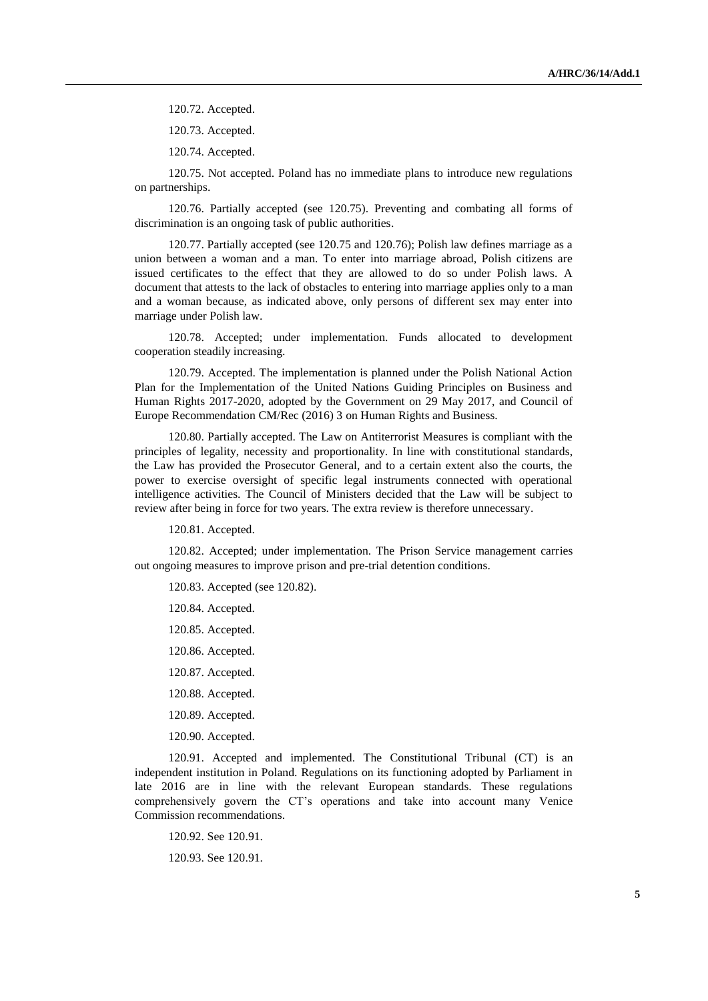120.72. Accepted.

120.73. Accepted.

120.74. Accepted.

120.75. Not accepted. Poland has no immediate plans to introduce new regulations on partnerships.

120.76. Partially accepted (see 120.75). Preventing and combating all forms of discrimination is an ongoing task of public authorities.

120.77. Partially accepted (see 120.75 and 120.76); Polish law defines marriage as a union between a woman and a man. To enter into marriage abroad, Polish citizens are issued certificates to the effect that they are allowed to do so under Polish laws. A document that attests to the lack of obstacles to entering into marriage applies only to a man and a woman because, as indicated above, only persons of different sex may enter into marriage under Polish law.

120.78. Accepted; under implementation. Funds allocated to development cooperation steadily increasing.

120.79. Accepted. The implementation is planned under the Polish National Action Plan for the Implementation of the United Nations Guiding Principles on Business and Human Rights 2017-2020, adopted by the Government on 29 May 2017, and Council of Europe Recommendation CM/Rec (2016) 3 on Human Rights and Business.

120.80. Partially accepted. The Law on Antiterrorist Measures is compliant with the principles of legality, necessity and proportionality. In line with constitutional standards, the Law has provided the Prosecutor General, and to a certain extent also the courts, the power to exercise oversight of specific legal instruments connected with operational intelligence activities. The Council of Ministers decided that the Law will be subject to review after being in force for two years. The extra review is therefore unnecessary.

120.81. Accepted.

120.82. Accepted; under implementation. The Prison Service management carries out ongoing measures to improve prison and pre-trial detention conditions.

120.83. Accepted (see 120.82).

120.84. Accepted. 120.85. Accepted. 120.86. Accepted. 120.87. Accepted. 120.88. Accepted. 120.89. Accepted. 120.90. Accepted.

120.91. Accepted and implemented. The Constitutional Tribunal (CT) is an independent institution in Poland. Regulations on its functioning adopted by Parliament in late 2016 are in line with the relevant European standards. These regulations comprehensively govern the CT's operations and take into account many Venice Commission recommendations.

120.92. See 120.91.

120.93. See 120.91.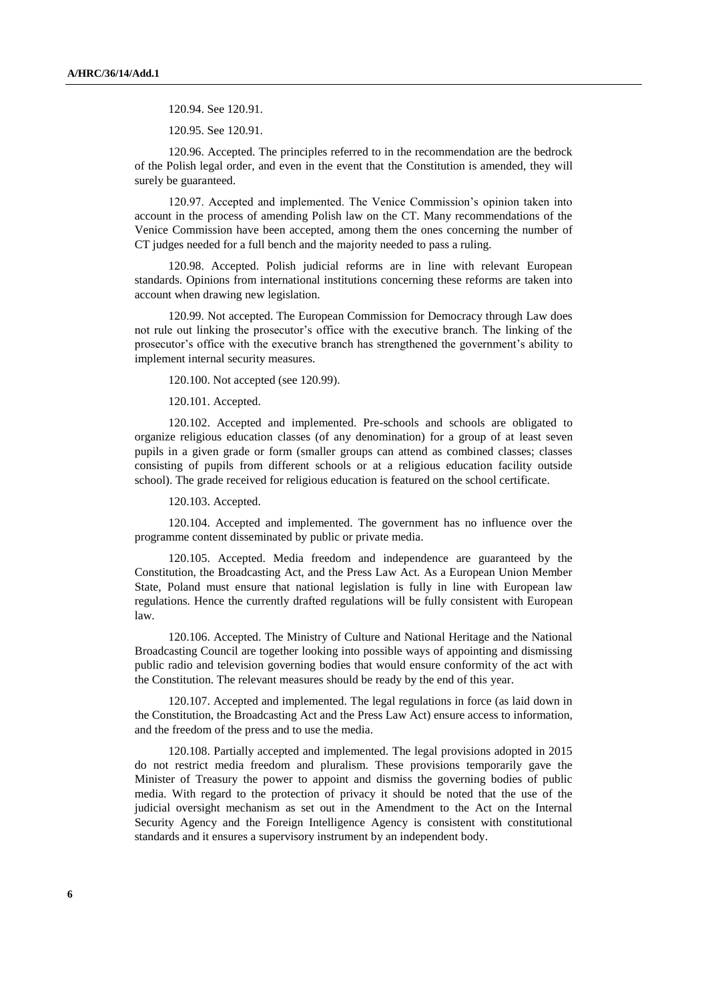120.94. See 120.91.

120.95. See 120.91.

120.96. Accepted. The principles referred to in the recommendation are the bedrock of the Polish legal order, and even in the event that the Constitution is amended, they will surely be guaranteed.

120.97. Accepted and implemented. The Venice Commission's opinion taken into account in the process of amending Polish law on the CT. Many recommendations of the Venice Commission have been accepted, among them the ones concerning the number of CT judges needed for a full bench and the majority needed to pass a ruling.

120.98. Accepted. Polish judicial reforms are in line with relevant European standards. Opinions from international institutions concerning these reforms are taken into account when drawing new legislation.

120.99. Not accepted. The European Commission for Democracy through Law does not rule out linking the prosecutor's office with the executive branch. The linking of the prosecutor's office with the executive branch has strengthened the government's ability to implement internal security measures.

120.100. Not accepted (see 120.99).

120.101. Accepted.

120.102. Accepted and implemented. Pre-schools and schools are obligated to organize religious education classes (of any denomination) for a group of at least seven pupils in a given grade or form (smaller groups can attend as combined classes; classes consisting of pupils from different schools or at a religious education facility outside school). The grade received for religious education is featured on the school certificate.

120.103. Accepted.

120.104. Accepted and implemented. The government has no influence over the programme content disseminated by public or private media.

120.105. Accepted. Media freedom and independence are guaranteed by the Constitution, the Broadcasting Act, and the Press Law Act. As a European Union Member State, Poland must ensure that national legislation is fully in line with European law regulations. Hence the currently drafted regulations will be fully consistent with European law.

120.106. Accepted. The Ministry of Culture and National Heritage and the National Broadcasting Council are together looking into possible ways of appointing and dismissing public radio and television governing bodies that would ensure conformity of the act with the Constitution. The relevant measures should be ready by the end of this year.

120.107. Accepted and implemented. The legal regulations in force (as laid down in the Constitution, the Broadcasting Act and the Press Law Act) ensure access to information, and the freedom of the press and to use the media.

120.108. Partially accepted and implemented. The legal provisions adopted in 2015 do not restrict media freedom and pluralism. These provisions temporarily gave the Minister of Treasury the power to appoint and dismiss the governing bodies of public media. With regard to the protection of privacy it should be noted that the use of the judicial oversight mechanism as set out in the Amendment to the Act on the Internal Security Agency and the Foreign Intelligence Agency is consistent with constitutional standards and it ensures a supervisory instrument by an independent body.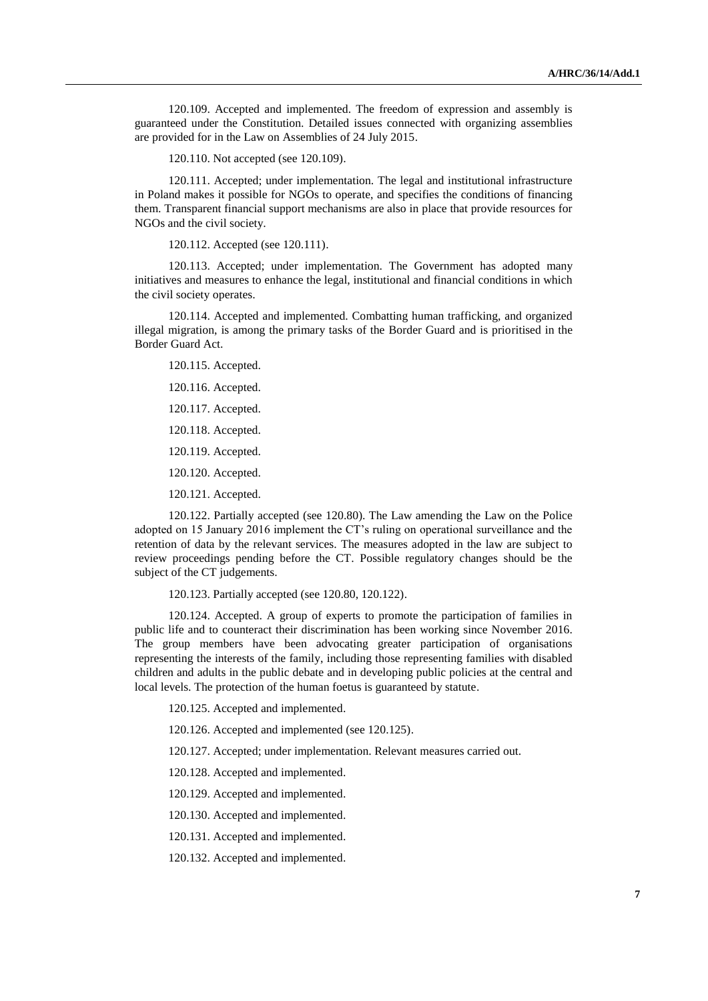120.109. Accepted and implemented. The freedom of expression and assembly is guaranteed under the Constitution. Detailed issues connected with organizing assemblies are provided for in the Law on Assemblies of 24 July 2015.

120.110. Not accepted (see 120.109).

120.111. Accepted; under implementation. The legal and institutional infrastructure in Poland makes it possible for NGOs to operate, and specifies the conditions of financing them. Transparent financial support mechanisms are also in place that provide resources for NGOs and the civil society.

120.112. Accepted (see 120.111).

120.113. Accepted; under implementation. The Government has adopted many initiatives and measures to enhance the legal, institutional and financial conditions in which the civil society operates.

120.114. Accepted and implemented. Combatting human trafficking, and organized illegal migration, is among the primary tasks of the Border Guard and is prioritised in the Border Guard Act.

120.115. Accepted.

120.116. Accepted.

120.117. Accepted.

120.118. Accepted.

120.119. Accepted.

120.120. Accepted.

120.121. Accepted.

120.122. Partially accepted (see 120.80). The Law amending the Law on the Police adopted on 15 January 2016 implement the CT's ruling on operational surveillance and the retention of data by the relevant services. The measures adopted in the law are subject to review proceedings pending before the CT. Possible regulatory changes should be the subject of the CT judgements.

120.123. Partially accepted (see 120.80, 120.122).

120.124. Accepted. A group of experts to promote the participation of families in public life and to counteract their discrimination has been working since November 2016. The group members have been advocating greater participation of organisations representing the interests of the family, including those representing families with disabled children and adults in the public debate and in developing public policies at the central and local levels. The protection of the human foetus is guaranteed by statute.

120.125. Accepted and implemented.

120.126. Accepted and implemented (see 120.125).

120.127. Accepted; under implementation. Relevant measures carried out.

120.128. Accepted and implemented.

120.129. Accepted and implemented.

120.130. Accepted and implemented.

120.131. Accepted and implemented.

120.132. Accepted and implemented.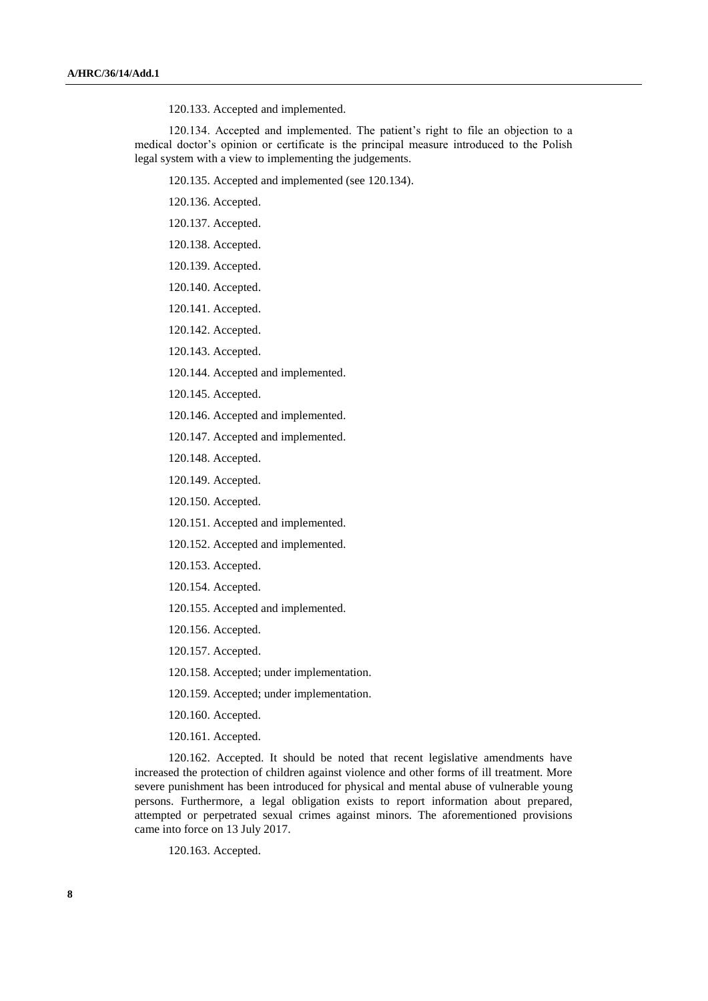120.133. Accepted and implemented.

120.134. Accepted and implemented. The patient's right to file an objection to a medical doctor's opinion or certificate is the principal measure introduced to the Polish legal system with a view to implementing the judgements.

120.135. Accepted and implemented (see 120.134).

- 120.136. Accepted.
- 120.137. Accepted.
- 120.138. Accepted.
- 120.139. Accepted.
- 120.140. Accepted.
- 120.141. Accepted.
- 120.142. Accepted.
- 120.143. Accepted.
- 120.144. Accepted and implemented.
- 120.145. Accepted.
- 120.146. Accepted and implemented.
- 120.147. Accepted and implemented.
- 120.148. Accepted.
- 120.149. Accepted.
- 120.150. Accepted.
- 120.151. Accepted and implemented.
- 120.152. Accepted and implemented.
- 120.153. Accepted.
- 120.154. Accepted.
- 120.155. Accepted and implemented.
- 120.156. Accepted.
- 120.157. Accepted.
- 120.158. Accepted; under implementation.
- 120.159. Accepted; under implementation.
- 120.160. Accepted.
- 120.161. Accepted.

120.162. Accepted. It should be noted that recent legislative amendments have increased the protection of children against violence and other forms of ill treatment. More severe punishment has been introduced for physical and mental abuse of vulnerable young persons. Furthermore, a legal obligation exists to report information about prepared, attempted or perpetrated sexual crimes against minors. The aforementioned provisions came into force on 13 July 2017.

120.163. Accepted.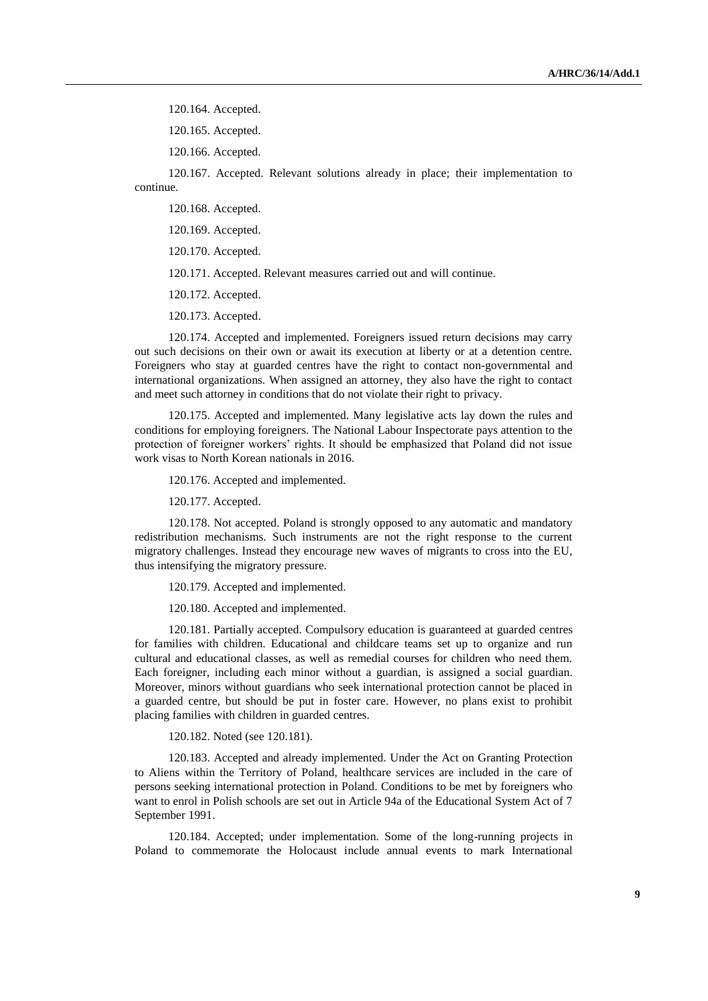120.164. Accepted.

120.165. Accepted.

120.166. Accepted.

120.167. Accepted. Relevant solutions already in place; their implementation to continue.

120.168. Accepted.

120.169. Accepted.

120.170. Accepted.

120.171. Accepted. Relevant measures carried out and will continue.

120.172. Accepted.

120.173. Accepted.

120.174. Accepted and implemented. Foreigners issued return decisions may carry out such decisions on their own or await its execution at liberty or at a detention centre. Foreigners who stay at guarded centres have the right to contact non-governmental and international organizations. When assigned an attorney, they also have the right to contact and meet such attorney in conditions that do not violate their right to privacy.

120.175. Accepted and implemented. Many legislative acts lay down the rules and conditions for employing foreigners. The National Labour Inspectorate pays attention to the protection of foreigner workers' rights. It should be emphasized that Poland did not issue work visas to North Korean nationals in 2016.

120.176. Accepted and implemented.

120.177. Accepted.

120.178. Not accepted. Poland is strongly opposed to any automatic and mandatory redistribution mechanisms. Such instruments are not the right response to the current migratory challenges. Instead they encourage new waves of migrants to cross into the EU, thus intensifying the migratory pressure.

120.179. Accepted and implemented.

120.180. Accepted and implemented.

120.181. Partially accepted. Compulsory education is guaranteed at guarded centres for families with children. Educational and childcare teams set up to organize and run cultural and educational classes, as well as remedial courses for children who need them. Each foreigner, including each minor without a guardian, is assigned a social guardian. Moreover, minors without guardians who seek international protection cannot be placed in a guarded centre, but should be put in foster care. However, no plans exist to prohibit placing families with children in guarded centres.

120.182. Noted (see 120.181).

120.183. Accepted and already implemented. Under the Act on Granting Protection to Aliens within the Territory of Poland, healthcare services are included in the care of persons seeking international protection in Poland. Conditions to be met by foreigners who want to enrol in Polish schools are set out in Article 94a of the Educational System Act of 7 September 1991.

120.184. Accepted; under implementation. Some of the long-running projects in Poland to commemorate the Holocaust include annual events to mark International